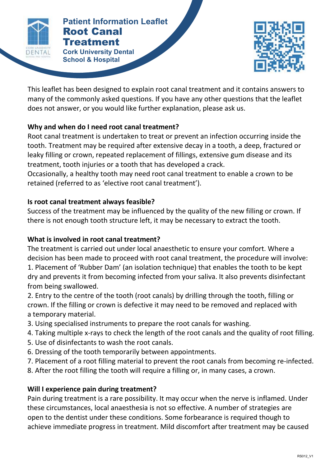

#### **Patient Information Leaflet Cork University Dental <b>Corp. CORP 2018 Patient Information Leaflet** Root Canal **Treatment**

**School & Hospital**



This leaflet has been designed to explain root canal treatment and it contains answers to many of the commonly asked questions. If you have any other questions that the leaflet does not answer, or you would like further explanation, please ask us.

## **Why and when do I need root canal treatment?**

Root canal treatment is undertaken to treat or prevent an infection occurring inside the tooth. Treatment may be required after extensive decay in a tooth, a deep, fractured or leaky filling or crown, repeated replacement of fillings, extensive gum disease and its treatment, tooth injuries or a tooth that has developed a crack.

Occasionally, a healthy tooth may need root canal treatment to enable a crown to be retained (referred to as 'elective root canal treatment').

## **Is root canal treatment always feasible?**

Success of the treatment may be influenced by the quality of the new filling or crown. If there is not enough tooth structure left, it may be necessary to extract the tooth.

# **What is involved in root canal treatment?**

The treatment is carried out under local anaesthetic to ensure your comfort. Where a decision has been made to proceed with root canal treatment, the procedure will involve: 1. Placement of 'Rubber Dam' (an isolation technique) that enables the tooth to be kept dry and prevents it from becoming infected from your saliva. It also prevents disinfectant from being swallowed.

2. Entry to the centre of the tooth (root canals) by drilling through the tooth, filling or crown. If the filling or crown is defective it may need to be removed and replaced with a temporary material.

- 3. Using specialised instruments to prepare the root canals for washing.
- 4. Taking multiple x-rays to check the length of the root canals and the quality of root filling.
- 5. Use of disinfectants to wash the root canals.
- 6. Dressing of the tooth temporarily between appointments.
- 7. Placement of a root filling material to prevent the root canals from becoming re-infected.
- 8. After the root filling the tooth will require a filling or, in many cases, a crown.

# **Will I experience pain during treatment?**

Pain during treatment is a rare possibility. It may occur when the nerve is inflamed. Under these circumstances, local anaesthesia is not so effective. A number of strategies are open to the dentist under these conditions. Some forbearance is required though to achieve immediate progress in treatment. Mild discomfort after treatment may be caused